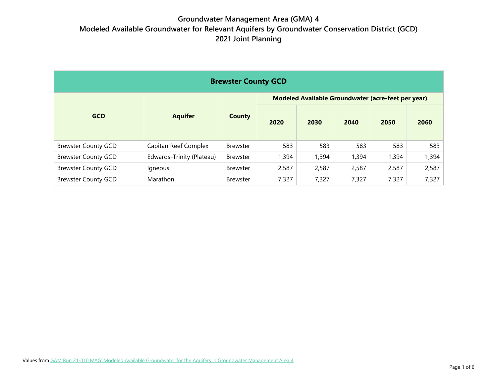| <b>Brewster County GCD</b> |                           |                 |                                                    |       |       |       |       |  |  |
|----------------------------|---------------------------|-----------------|----------------------------------------------------|-------|-------|-------|-------|--|--|
|                            |                           |                 | Modeled Available Groundwater (acre-feet per year) |       |       |       |       |  |  |
| <b>GCD</b>                 | <b>Aquifer</b>            | <b>County</b>   | 2020                                               | 2030  | 2040  | 2050  | 2060  |  |  |
| <b>Brewster County GCD</b> | Capitan Reef Complex      | <b>Brewster</b> | 583                                                | 583   | 583   | 583   | 583   |  |  |
| <b>Brewster County GCD</b> | Edwards-Trinity (Plateau) | <b>Brewster</b> | 1,394                                              | 1,394 | 1,394 | 1,394 | 1,394 |  |  |
| <b>Brewster County GCD</b> | Igneous                   | <b>Brewster</b> | 2,587                                              | 2,587 | 2,587 | 2,587 | 2,587 |  |  |
| <b>Brewster County GCD</b> | Marathon                  | <b>Brewster</b> | 7,327                                              | 7,327 | 7,327 | 7,327 | 7,327 |  |  |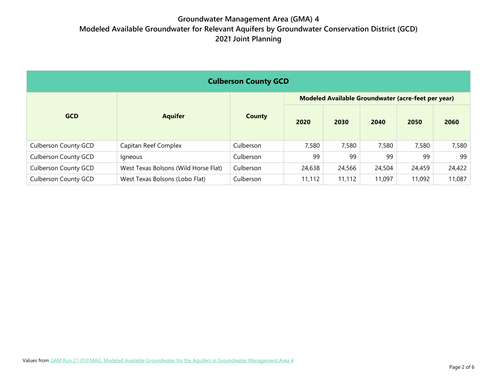| <b>Culberson County GCD</b> |                                      |               |                                                    |        |        |        |        |  |
|-----------------------------|--------------------------------------|---------------|----------------------------------------------------|--------|--------|--------|--------|--|
|                             |                                      |               | Modeled Available Groundwater (acre-feet per year) |        |        |        |        |  |
| <b>GCD</b>                  | <b>Aquifer</b>                       | <b>County</b> | 2020                                               | 2030   | 2040   | 2050   | 2060   |  |
| <b>Culberson County GCD</b> | Capitan Reef Complex                 | Culberson     | 7,580                                              | 7,580  | 7,580  | 7,580  | 7,580  |  |
| <b>Culberson County GCD</b> | <i>lgneous</i>                       | Culberson     | 99                                                 | 99     | 99     | 99     | 99     |  |
| <b>Culberson County GCD</b> | West Texas Bolsons (Wild Horse Flat) | Culberson     | 24,638                                             | 24,566 | 24,504 | 24,459 | 24,422 |  |
| <b>Culberson County GCD</b> | West Texas Bolsons (Lobo Flat)       | Culberson     | 11,112                                             | 11,112 | 11,097 | 11,092 | 11,087 |  |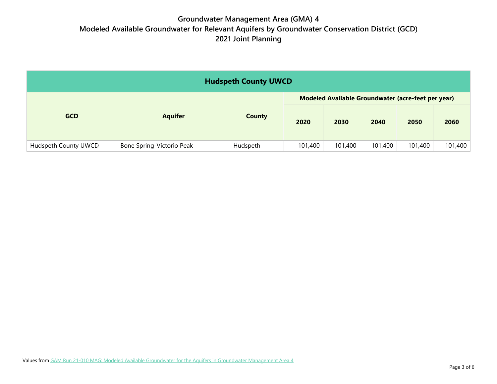| <b>Hudspeth County UWCD</b> |                           |          |                                                    |         |         |         |         |  |
|-----------------------------|---------------------------|----------|----------------------------------------------------|---------|---------|---------|---------|--|
|                             |                           |          | Modeled Available Groundwater (acre-feet per year) |         |         |         |         |  |
| <b>GCD</b>                  | <b>Aquifer</b>            | County   | 2020                                               | 2030    | 2040    | 2050    | 2060    |  |
| Hudspeth County UWCD        | Bone Spring-Victorio Peak | Hudspeth | 101,400                                            | 101,400 | 101,400 | 101,400 | 101,400 |  |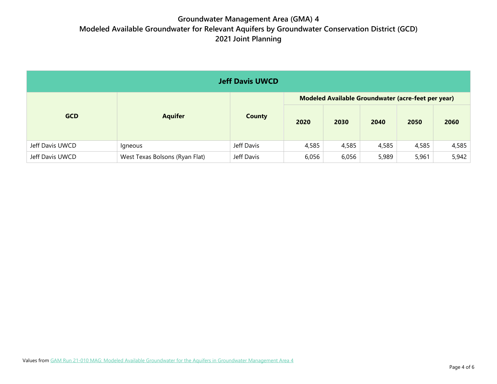| <b>Jeff Davis UWCD</b> |                                |               |                                                    |       |       |       |       |  |
|------------------------|--------------------------------|---------------|----------------------------------------------------|-------|-------|-------|-------|--|
|                        |                                |               | Modeled Available Groundwater (acre-feet per year) |       |       |       |       |  |
| <b>GCD</b>             | <b>Aquifer</b>                 | <b>County</b> | 2020                                               | 2030  | 2040  | 2050  | 2060  |  |
| Jeff Davis UWCD        | Igneous                        | Jeff Davis    | 4,585                                              | 4,585 | 4,585 | 4,585 | 4,585 |  |
| Jeff Davis UWCD        | West Texas Bolsons (Ryan Flat) | Jeff Davis    | 6,056                                              | 6,056 | 5,989 | 5,961 | 5,942 |  |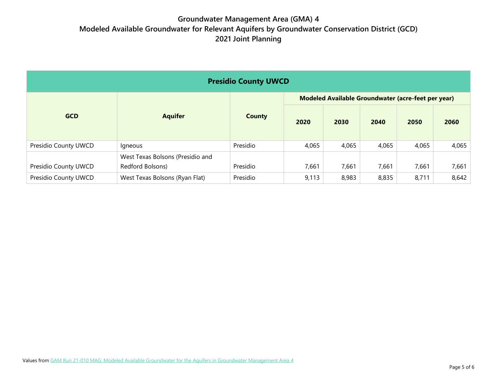| <b>Presidio County UWCD</b> |                                                      |               |                                                    |       |       |       |       |  |
|-----------------------------|------------------------------------------------------|---------------|----------------------------------------------------|-------|-------|-------|-------|--|
|                             |                                                      |               | Modeled Available Groundwater (acre-feet per year) |       |       |       |       |  |
| <b>GCD</b>                  | <b>Aquifer</b>                                       | <b>County</b> | 2020                                               | 2030  | 2040  | 2050  | 2060  |  |
| Presidio County UWCD        | lgneous                                              | Presidio      | 4,065                                              | 4,065 | 4,065 | 4,065 | 4,065 |  |
| Presidio County UWCD        | West Texas Bolsons (Presidio and<br>Redford Bolsons) | Presidio      | 7,661                                              | 7,661 | 7,661 | 7,661 | 7,661 |  |
| Presidio County UWCD        | West Texas Bolsons (Ryan Flat)                       | Presidio      | 9,113                                              | 8,983 | 8,835 | 8,711 | 8,642 |  |